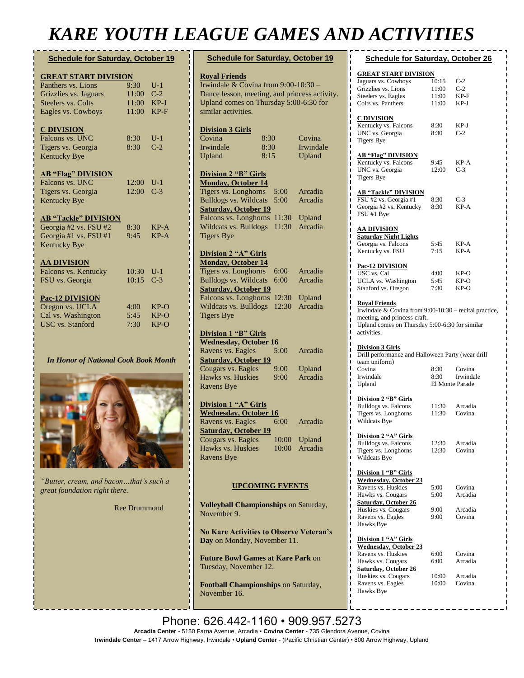## *KARE YOUTH LEAGUE GAMES AND ACTIVITIES*

#### **Schedule for Saturday, October 19**

| <b>GREAT START DIVISION</b> |       |        |
|-----------------------------|-------|--------|
| Panthers vs. Lions          | 9:30  | $U-1$  |
| Grizzlies vs. Jaguars       | 11:00 | $C-2$  |
| Steelers vs. Colts          | 11:00 | $KP-J$ |
| Eagles vs. Cowboys          | 11:00 | $KP-F$ |
| <b>C DIVISION</b>           |       |        |
| Falcons vs. UNC             | 8:30  | $U-1$  |
| Tigers vs. Georgia          | 8:30  | $C-2$  |
| <b>Kentucky Bye</b>         |       |        |
| <b>AB "Flag" DIVISION</b>   |       |        |
| Falcons vs. UNC             | 12:00 | $U-1$  |
| Tigers vs. Georgia          | 12:00 | $C-3$  |
| <b>Kentucky Bye</b>         |       |        |
| <b>AB "Tackle" DIVISION</b> |       |        |
| Georgia #2 vs. FSU #2       | 8:30  | $KP-A$ |
| Georgia #1 vs. FSU #1       | 9:45  | $KP-A$ |
| <b>Kentucky Bye</b>         |       |        |
| <b>AA DIVISION</b>          |       |        |
| Falcons vs. Kentucky        | 10:30 | $U-1$  |
| FSU vs. Georgia             | 10:15 | $C-3$  |
| <b>Pac-12 DIVISION</b>      |       |        |
| Oregon vs. UCLA             | 4:00  | $KP-O$ |
| Cal vs. Washington          | 5:45  | $KP-O$ |
| <b>USC</b> vs. Stanford     | 7:30  | $KP-O$ |
|                             |       |        |

*In Honor of National Cook Book Month*



*"Butter, cream, and bacon…that's such a great foundation right there.*

[Ree](https://www.brainyquote.com/authors/alexander-graham-bell-quotes) Drummond

| <b>Schedule for Saturday, October 19</b>                                      |      |              |               |  |  |
|-------------------------------------------------------------------------------|------|--------------|---------------|--|--|
| <b>Royal Friends</b>                                                          |      |              |               |  |  |
| Irwindale & Covina from 9:00-10:30 -                                          |      |              |               |  |  |
| Dance lesson, meeting, and princess activity.                                 |      |              |               |  |  |
| Upland comes on Thursday 5:00-6:30 for                                        |      |              |               |  |  |
| similar activities.                                                           |      |              |               |  |  |
| <b>Division 3 Girls</b>                                                       |      |              |               |  |  |
| Covina                                                                        | 8:30 |              | Covina        |  |  |
| Irwindale                                                                     | 8:30 |              | Irwindale     |  |  |
| Upland                                                                        | 8:15 |              | Upland        |  |  |
| Division 2 "B" Girls                                                          |      |              |               |  |  |
| <b>Monday, October 14</b><br>Tigers vs. Longhorns                             |      |              | Arcadia       |  |  |
| <b>Bulldogs vs. Wildcats</b>                                                  |      | 5:00<br>5:00 | Arcadia       |  |  |
| <b>Saturday, October 19</b>                                                   |      |              |               |  |  |
| Falcons vs. Longhorns                                                         |      | 11:30        | Upland        |  |  |
| Wildcats vs. Bulldogs                                                         |      | 11:30        | Arcadia       |  |  |
| <b>Tigers Bye</b>                                                             |      |              |               |  |  |
| Division 2 "A" Girls                                                          |      |              |               |  |  |
| Monday, October 14                                                            |      |              |               |  |  |
| Tigers vs. Longhorns                                                          |      | 6:00         | Arcadia       |  |  |
| <b>Bulldogs vs. Wildcats</b>                                                  |      | 6:00         | Arcadia       |  |  |
| <b>Saturday, October 19</b>                                                   |      |              |               |  |  |
| Falcons vs. Longhorns                                                         |      | 12:30        | Upland        |  |  |
| Wildcats vs. Bulldogs                                                         |      | 12:30        | Arcadia       |  |  |
| <b>Tigers Bye</b>                                                             |      |              |               |  |  |
| <b>Division 1 "B" Girls</b>                                                   |      |              |               |  |  |
| <b>Wednesday, October 16</b>                                                  |      |              |               |  |  |
| Ravens vs. Eagles                                                             |      | 5:00         | Arcadia       |  |  |
| <b>Saturday, October 19</b>                                                   |      |              |               |  |  |
| Cougars vs. Eagles                                                            |      | 9:00         | Upland        |  |  |
| Hawks vs. Huskies<br><b>Ravens Bye</b>                                        |      | 9:00         | Arcadia       |  |  |
|                                                                               |      |              |               |  |  |
| Division 1 "A" Girls                                                          |      |              |               |  |  |
| <b>Wednesday, October 16</b><br>Ravens vs. Eagles                             |      | 6:00         | Arcadia       |  |  |
| <b>Saturday, October 19</b>                                                   |      |              |               |  |  |
| Cougars vs. Eagles                                                            |      |              | 10:00 Upland  |  |  |
| Hawks vs. Huskies                                                             |      |              | 10:00 Arcadia |  |  |
| <b>Ravens Bye</b>                                                             |      |              |               |  |  |
|                                                                               |      |              |               |  |  |
| <b>UPCOMING EVENTS</b>                                                        |      |              |               |  |  |
| Volleyball Championships on Saturday,<br>November 9.                          |      |              |               |  |  |
| <b>No Kare Activities to Observe Veteran's</b><br>Day on Monday, November 11. |      |              |               |  |  |
| <b>Future Bowl Games at Kare Park on</b><br>Tuesday, November 12.             |      |              |               |  |  |

**Football Championships** on Saturday, November 16.

| <b>Schedule for Saturday, October 26</b>                                                                                                                                                                        |                |                   |
|-----------------------------------------------------------------------------------------------------------------------------------------------------------------------------------------------------------------|----------------|-------------------|
|                                                                                                                                                                                                                 |                |                   |
| <u>GREAT START DIVISION</u>                                                                                                                                                                                     |                |                   |
| ı<br>Jaguars vs. Cowboys                                                                                                                                                                                        | 10:15          | $C-2$             |
| ı<br>Grizzlies vs. Lions<br>ı                                                                                                                                                                                   | 11:00          | $C-2$             |
| Steelers vs. Eagles<br>ī                                                                                                                                                                                        | 11:00          | KP-F              |
| Colts vs. Panthers<br>ı                                                                                                                                                                                         | 11:00          | KP-J              |
| ı                                                                                                                                                                                                               |                |                   |
| C DIVISION<br>ı                                                                                                                                                                                                 |                |                   |
| Kentucky vs. Falcons<br>ı                                                                                                                                                                                       | 8:30           | KP-J              |
| UNC vs. Georgia<br>ī<br><b>Tigers Bye</b><br>I                                                                                                                                                                  | 8:30           | $C-2$             |
| ı                                                                                                                                                                                                               |                |                   |
| ı<br><b>AB "Flag" DIVISION</b>                                                                                                                                                                                  |                |                   |
| ı<br>Kentucky vs. Falcons<br>ı                                                                                                                                                                                  | 9:45           | KP-A              |
| UNC vs. Georgia<br>ı                                                                                                                                                                                            | 12:00          | C-3               |
| ı<br><b>Tigers Bye</b>                                                                                                                                                                                          |                |                   |
| ı                                                                                                                                                                                                               |                |                   |
| ı<br><b>AB "Tackle" DIVISION</b><br>ı                                                                                                                                                                           |                |                   |
| FSU #2 vs. Georgia #1<br>ı                                                                                                                                                                                      | 8:30           | C-3               |
| ı<br>Georgia #2 vs. Kentucky                                                                                                                                                                                    | 8:30           | KP-A              |
| ı<br>FSU #1 Bye<br>ı                                                                                                                                                                                            |                |                   |
| П                                                                                                                                                                                                               |                |                   |
| AA DIVISION<br>ī                                                                                                                                                                                                |                |                   |
| <b>Saturday Night Lights</b><br>ı<br>ı                                                                                                                                                                          |                |                   |
| Georgia vs. Falcons<br>I                                                                                                                                                                                        | 5:45           | KP-A              |
| Kentucky vs. FSU<br>ı                                                                                                                                                                                           | 7:15           | KP-A              |
| ı<br>ı                                                                                                                                                                                                          |                |                   |
| Pac-12 DIVISION<br>ı<br>USC vs. Cal                                                                                                                                                                             | 4:00           | KP-O              |
| ı<br>UCLA vs. Washington                                                                                                                                                                                        | 5:45           | KP-O              |
| ı<br>Stanford vs. Oregon<br>ı                                                                                                                                                                                   | 7:30           | $KP-O$            |
| ı<br><b>Royal Friends</b><br>Π<br>Irwindale & Covina from $9:00-10:30$ – recital practice,<br>ī<br>meeting, and princess craft.<br>Ï<br>Upland comes on Thursday 5:00-6:30 for similar<br>ı<br>activities.<br>ı |                |                   |
| ī<br>ı<br>Division 3 Girls<br>ı<br>Drill performance and Halloween Party (wear drill<br>ı                                                                                                                       |                |                   |
| team uniform)<br>ı                                                                                                                                                                                              |                |                   |
| ı<br>Covina                                                                                                                                                                                                     | 8:30           | Covina            |
| ı<br>Irwindale<br>ı                                                                                                                                                                                             | 8:30           | Irwindale         |
| Upland<br>ī                                                                                                                                                                                                     |                |                   |
| Π                                                                                                                                                                                                               |                | El Monte Parade   |
|                                                                                                                                                                                                                 |                |                   |
| Division 2 "B" Girls                                                                                                                                                                                            |                |                   |
| <b>Bulldogs vs. Falcons</b>                                                                                                                                                                                     | 11:30          | Arcadia           |
| Tigers vs. Longhorns                                                                                                                                                                                            | 11:30          | Covina            |
| Wildcats Bye                                                                                                                                                                                                    |                |                   |
|                                                                                                                                                                                                                 |                |                   |
|                                                                                                                                                                                                                 |                |                   |
| <b>Division 2 "A" Girls</b><br>Bulldogs vs. Falcons                                                                                                                                                             | 12:30<br>12:30 | Arcadia<br>Covina |
| Tigers vs. Longhorns<br>Wildcats Bye                                                                                                                                                                            |                |                   |
|                                                                                                                                                                                                                 |                |                   |
| Division 1 "B" Girls                                                                                                                                                                                            |                |                   |
| Wednesday, October 23                                                                                                                                                                                           |                |                   |
| Ravens vs. Huskies                                                                                                                                                                                              | 5:00           | Covina            |
| Hawks vs. Cougars                                                                                                                                                                                               | 5:00           | Arcadia           |
| <b>Saturday, October 26</b>                                                                                                                                                                                     |                |                   |
| Huskies vs. Cougars                                                                                                                                                                                             | 9:00           | Arcadia           |
| Ravens vs. Eagles                                                                                                                                                                                               | 9:00           | Covina            |
| Hawks Bye                                                                                                                                                                                                       |                |                   |
|                                                                                                                                                                                                                 |                |                   |
| Division 1 "A" Girls                                                                                                                                                                                            |                |                   |
| <b>Wednesday</b> , October 23<br>Ravens vs. Huskies                                                                                                                                                             | 6:00           | Covina            |
| Π<br>ı<br>Π<br>ı<br>ī<br>ı<br>ı<br>ı<br>ı<br>ı<br>Π<br>ı<br>ī<br>ı<br>ı<br>ı<br>ı<br>ı<br>ı<br>ı<br>ı<br>ı<br>ı<br>ı<br>ı<br>ı<br>ı<br>Hawks vs. Cougars                                                        | 6:00           | Arcadia           |
| ı                                                                                                                                                                                                               |                |                   |
| <b>Saturday, October 26</b><br>ı<br>Huskies vs. Cougars<br>П                                                                                                                                                    | 10:00          | Arcadia           |

Hawks Bye

Phone: 626.442-1160 · 909.957.5273 Arcadia Center - 5150 Farna Avenue, Arcadia • Covina Center - 735 Glendora Avenue, Covina **Irwindale Center** – 1417 Arrow Highway, Irwindale • **Upland Center** - (Pacific Christian Center) • 800 Arrow Highway, Upland<br> **No Kare Activities to Observe**